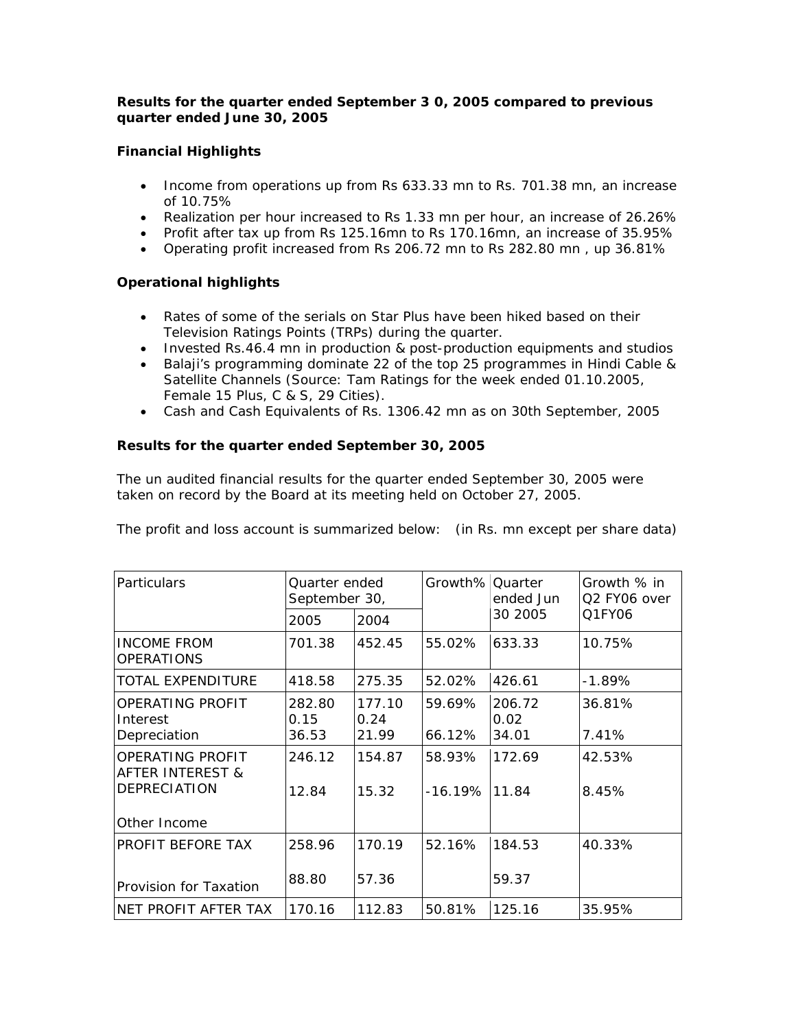# *Results for the quarter ended September 3 0, 2005 compared to previous quarter ended June 30, 2005*

# **Financial Highlights**

- Income from operations up from Rs 633.33 mn to Rs. 701.38 mn, an increase of 10.75%
- Realization per hour increased to Rs 1.33 mn per hour, an increase of 26.26%
- Profit after tax up from Rs 125.16mn to Rs 170.16mn, an increase of 35.95%
- Operating profit increased from Rs 206.72 mn to Rs 282.80 mn , up 36.81%

# **Operational highlights**

- Rates of some of the serials on Star Plus have been hiked based on their Television Ratings Points (TRPs) during the quarter.
- Invested Rs.46.4 mn in production & post-production equipments and studios
- Balaji's programming dominate 22 of the top 25 programmes in Hindi Cable & Satellite Channels (Source: Tam Ratings for the week ended 01.10.2005, Female 15 Plus, C & S, 29 Cities).
- Cash and Cash Equivalents of Rs. 1306.42 mn as on 30th September, 2005

# **Results for the quarter ended September 30, 2005**

The un audited financial results for the quarter ended September 30, 2005 were taken on record by the Board at its meeting held on October 27, 2005.

The profit and loss account is summarized below: (in Rs. mn except per share data)

| <b>Particulars</b>                              | Quarter ended<br>September 30, |                | Growth% Quarter | ended Jun      | Growth % in<br>Q2 FY06 over |  |
|-------------------------------------------------|--------------------------------|----------------|-----------------|----------------|-----------------------------|--|
|                                                 | 2005                           | 2004           |                 | 30 2005        | Q1FY06                      |  |
| <b>INCOME FROM</b><br><b>OPERATIONS</b>         | 701.38                         | 452.45         | 55.02%          | 633.33         | 10.75%                      |  |
| TOTAL EXPENDITURE                               | 418.58                         | 275.35         | 52.02%          | 426.61         | $-1.89\%$                   |  |
| OPERATING PROFIT<br>Interest                    | 282.80<br>0.15                 | 177.10<br>0.24 | 59.69%          | 206.72<br>0.02 | 36.81%                      |  |
| Depreciation                                    | 36.53                          | 21.99          | 66.12%          | 34.01          | 7.41%                       |  |
| OPERATING PROFIT<br><b>AFTER INTEREST &amp;</b> | 246.12                         | 154.87         | 58.93%          | 172.69         | 42.53%                      |  |
| <b>DEPRECIATION</b>                             | 12.84                          | 15.32          | $-16.19%$       | 11.84          | 8.45%                       |  |
| Other Income                                    |                                |                |                 |                |                             |  |
| PROFIT BEFORE TAX                               | 258.96                         | 170.19         | 52.16%          | 184.53         | 40.33%                      |  |
| Provision for Taxation                          | 88.80                          | 57.36          |                 | 59.37          |                             |  |
| NET PROFIT AFTER TAX                            | 170.16                         | 112.83         | 50.81%          | 125.16         | 35.95%                      |  |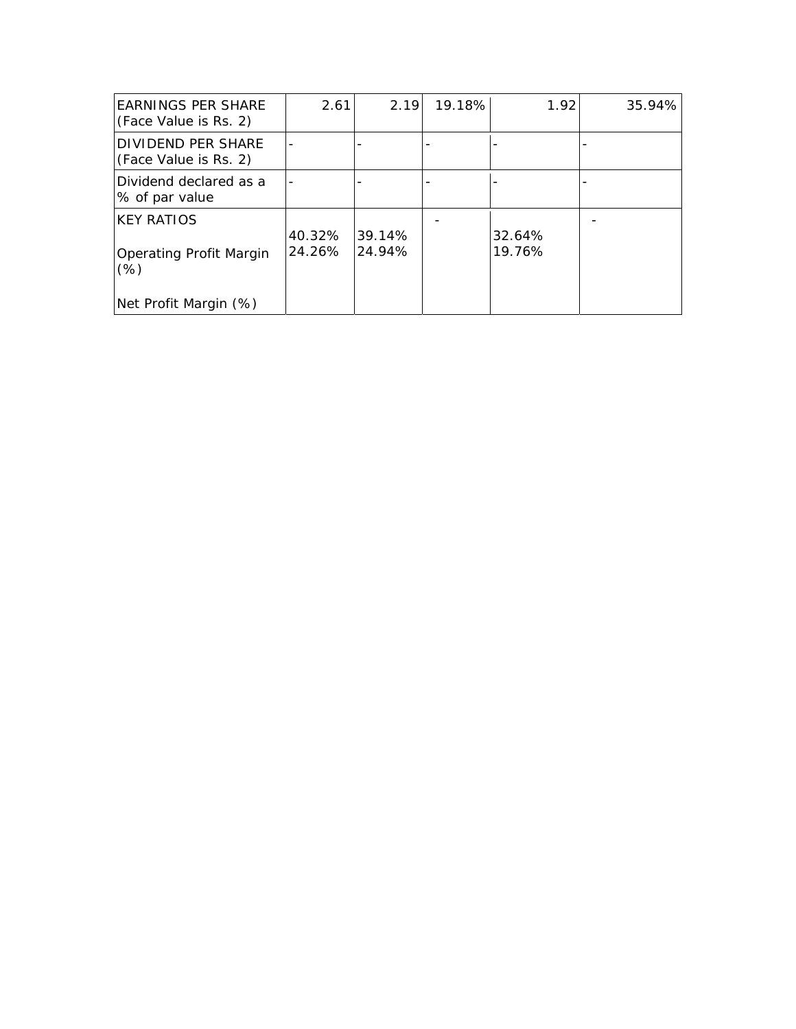| <b>EARNINGS PER SHARE</b><br>(Face Value is Rs. 2) | 2.61             | 2.19             | 19.18% | 1.92             | 35.94% |
|----------------------------------------------------|------------------|------------------|--------|------------------|--------|
| DIVIDEND PER SHARE<br>(Face Value is Rs. 2)        |                  |                  |        |                  |        |
| Dividend declared as a<br>% of par value           |                  |                  |        |                  |        |
| <b>KEY RATIOS</b>                                  |                  |                  |        |                  |        |
| <b>Operating Profit Margin</b><br>$(\%)$           | 40.32%<br>24.26% | 39.14%<br>24.94% |        | 32.64%<br>19.76% |        |
| Net Profit Margin (%)                              |                  |                  |        |                  |        |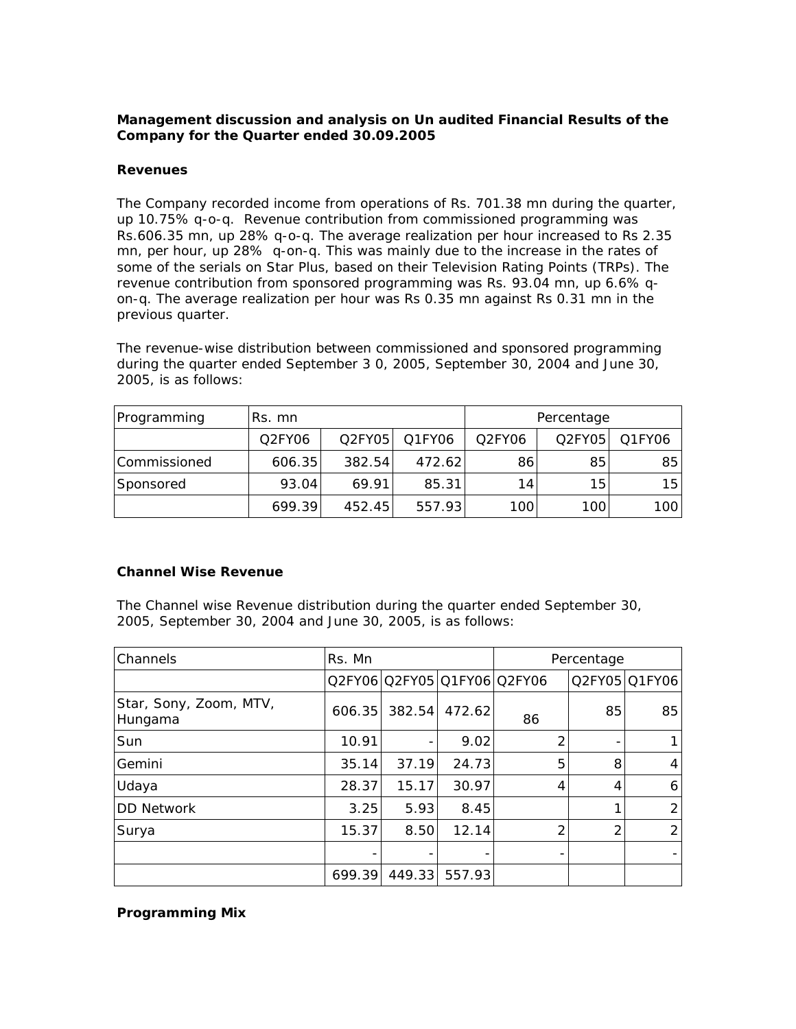# *Management discussion and analysis on Un audited Financial Results of the Company for the Quarter ended 30.09.2005*

### **Revenues**

The Company recorded income from operations of Rs. 701.38 mn during the quarter, up 10.75% q-o-q. Revenue contribution from commissioned programming was Rs.606.35 mn, up 28% q-o-q. The average realization per hour increased to Rs 2.35 mn, per hour, up 28% q-on-q. This was mainly due to the increase in the rates of some of the serials on Star Plus, based on their Television Rating Points (TRPs). The revenue contribution from sponsored programming was Rs. 93.04 mn, up 6.6% qon-q. The average realization per hour was Rs 0.35 mn against Rs 0.31 mn in the previous quarter.

The revenue-wise distribution between commissioned and sponsored programming during the quarter ended September 3 0, 2005, September 30, 2004 and June 30, 2005, is as follows:

| Programming  | ⊥Rs. mn |        |        | Percentage       |        |        |  |
|--------------|---------|--------|--------|------------------|--------|--------|--|
|              | Q2FY06  | Q2FY05 | Q1FY06 | Q2FY06           | Q2FY05 | Q1FY06 |  |
| Commissioned | 606.35  | 382.54 | 472.62 | 86               | 85     | 85     |  |
| Sponsored    | 93.04   | 69.91  | 85.31  | 14               | 15     | 15     |  |
|              | 699.39  | 452.45 | 557.93 | 100 <sub>1</sub> | 100    | 100    |  |

### **Channel Wise Revenue**

The Channel wise Revenue distribution during the quarter ended September 30, 2005, September 30, 2004 and June 30, 2005, is as follows:

| Channels                          | Rs. Mn |                             |        |    | Percentage |               |
|-----------------------------------|--------|-----------------------------|--------|----|------------|---------------|
|                                   |        | Q2FY06 Q2FY05 Q1FY06 Q2FY06 |        |    |            | Q2FY05 Q1FY06 |
| Star, Sony, Zoom, MTV,<br>Hungama | 606.35 | 382.54                      | 472.62 | 86 | 85         | 85            |
| Sun                               | 10.91  |                             | 9.02   | 2  |            |               |
| Gemini                            | 35.14  | 37.19                       | 24.73  | 5  | 8          | 4             |
| Udaya                             | 28.37  | 15.17                       | 30.97  | 4  | 4          | 6             |
| <b>DD Network</b>                 | 3.25   | 5.93                        | 8.45   |    | 1          | 2             |
| Surya                             | 15.37  | 8.50                        | 12.14  | 2  | 2          | 2             |
|                                   | -      |                             |        |    |            |               |
|                                   | 699.39 | 449.33                      | 557.93 |    |            |               |

### **Programming Mix**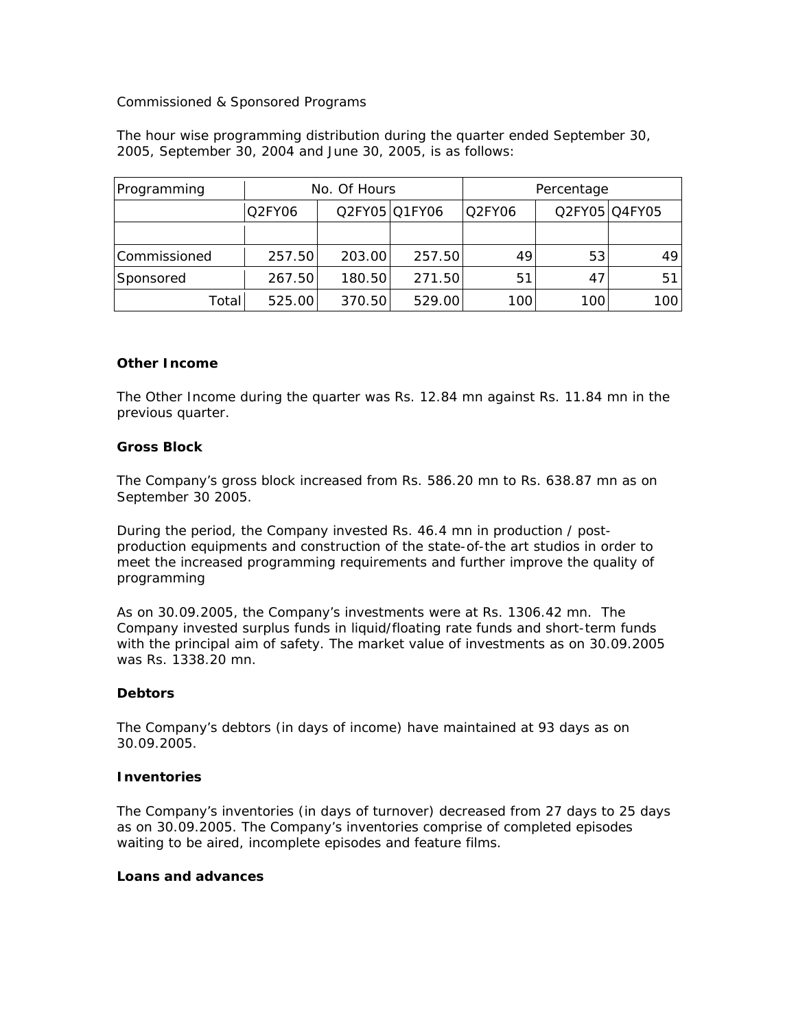### Commissioned & Sponsored Programs

The hour wise programming distribution during the quarter ended September 30, 2005, September 30, 2004 and June 30, 2005, is as follows:

| Programming  | No. Of Hours |        |               | Percentage |     |               |
|--------------|--------------|--------|---------------|------------|-----|---------------|
|              | Q2FY06       |        | Q2FY05 Q1FY06 | Q2FY06     |     | Q2FY05 Q4FY05 |
|              |              |        |               |            |     |               |
| Commissioned | 257.50       | 203.00 | 257.50        | 49         | 53  | 491           |
| Sponsored    | 267.50       | 180.50 | 271.50        | 51         | 47  | 511           |
| Total        | 525.00       | 370.50 | 529.00        | 100        | 100 | 1001          |

### **Other Income**

The Other Income during the quarter was Rs. 12.84 mn against Rs. 11.84 mn in the previous quarter.

### **Gross Block**

The Company's gross block increased from Rs. 586.20 mn to Rs. 638.87 mn as on September 30 2005.

During the period, the Company invested Rs. 46.4 mn in production / postproduction equipments and construction of the state-of-the art studios in order to meet the increased programming requirements and further improve the quality of programming

As on 30.09.2005, the Company's investments were at Rs. 1306.42 mn. The Company invested surplus funds in liquid/floating rate funds and short-term funds with the principal aim of safety. *The market value of investments as on 30.09.2005 was Rs. 1338.20 mn.*

#### **Debtors**

The Company's debtors (in days of income) have maintained at 93 days as on 30.09.2005.

#### **Inventories**

The Company's inventories (in days of turnover) decreased from 27 days to 25 days as on 30.09.2005. The Company's inventories comprise of completed episodes waiting to be aired, incomplete episodes and feature films.

#### **Loans and advances**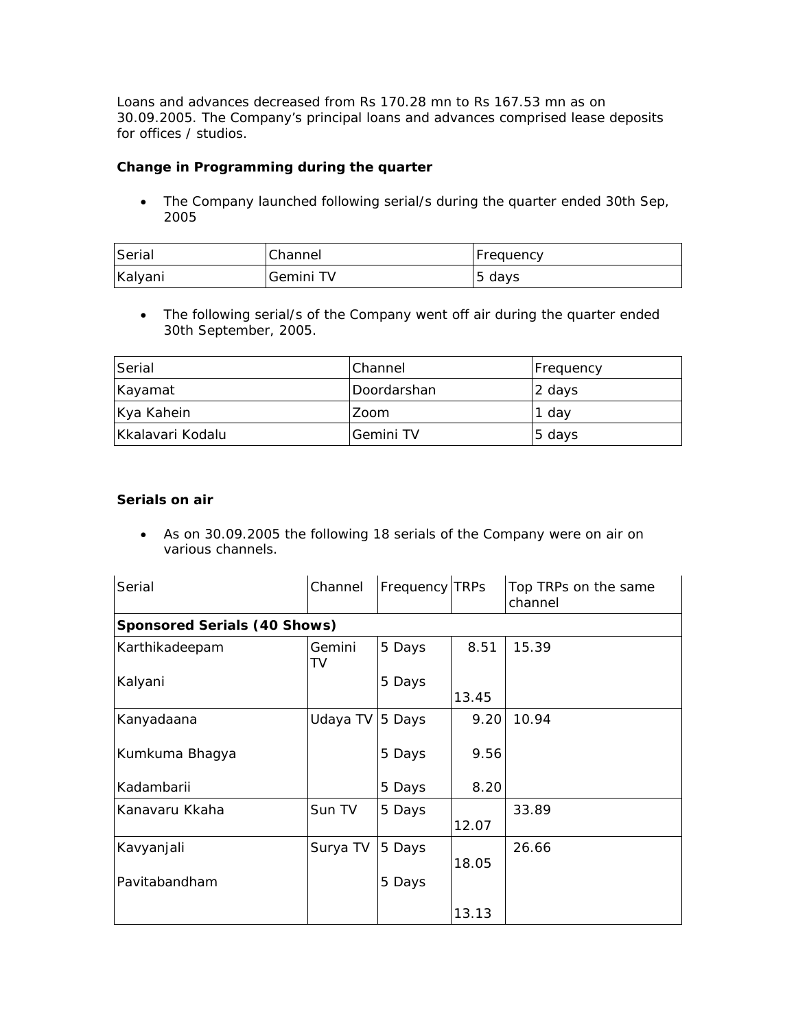Loans and advances decreased from Rs 170.28 mn to Rs 167.53 mn as on 30.09.2005. The Company's principal loans and advances comprised lease deposits for offices / studios.

# **Change in Programming during the quarter**

• The Company launched following serial/s during the quarter ended 30th Sep, 2005

| Serial  | Channel   | <b>IFrequency</b> |
|---------|-----------|-------------------|
| Kalyani | Gemini TV | 5 days            |

• The following serial/s of the Company went off air during the quarter ended 30th September, 2005.

| Serial           | lChannel      | <b>Frequency</b> |
|------------------|---------------|------------------|
| Kayamat          | l Doordarshan | 2 days           |
| Kya Kahein       | Zoom          | 1 day            |
| Kkalavari Kodalu | Gemini TV     | 5 days           |

### **Serials on air**

• As on 30.09.2005 the following 18 serials of the Company were on air on various channels.

| Serial                              | Channel      | Frequency TRPs |       | Top TRPs on the same<br>channel |  |  |  |  |
|-------------------------------------|--------------|----------------|-------|---------------------------------|--|--|--|--|
| <b>Sponsored Serials (40 Shows)</b> |              |                |       |                                 |  |  |  |  |
| Karthikadeepam                      | Gemini<br>TV | 5 Days         | 8.51  | 15.39                           |  |  |  |  |
| Kalyani                             |              | 5 Days         |       |                                 |  |  |  |  |
|                                     |              |                | 13.45 |                                 |  |  |  |  |
| Kanyadaana                          | Udaya TV     | 5 Days         | 9.20  | 10.94                           |  |  |  |  |
| Kumkuma Bhagya                      |              | 5 Days         | 9.56  |                                 |  |  |  |  |
| Kadambarii                          |              | 5 Days         | 8.20  |                                 |  |  |  |  |
| Kanavaru Kkaha                      | Sun TV       | 5 Days         | 12.07 | 33.89                           |  |  |  |  |
| Kavyanjali                          | Surya TV     | 5 Days         | 18.05 | 26.66                           |  |  |  |  |
| Pavitabandham                       |              | 5 Days         |       |                                 |  |  |  |  |
|                                     |              |                | 13.13 |                                 |  |  |  |  |